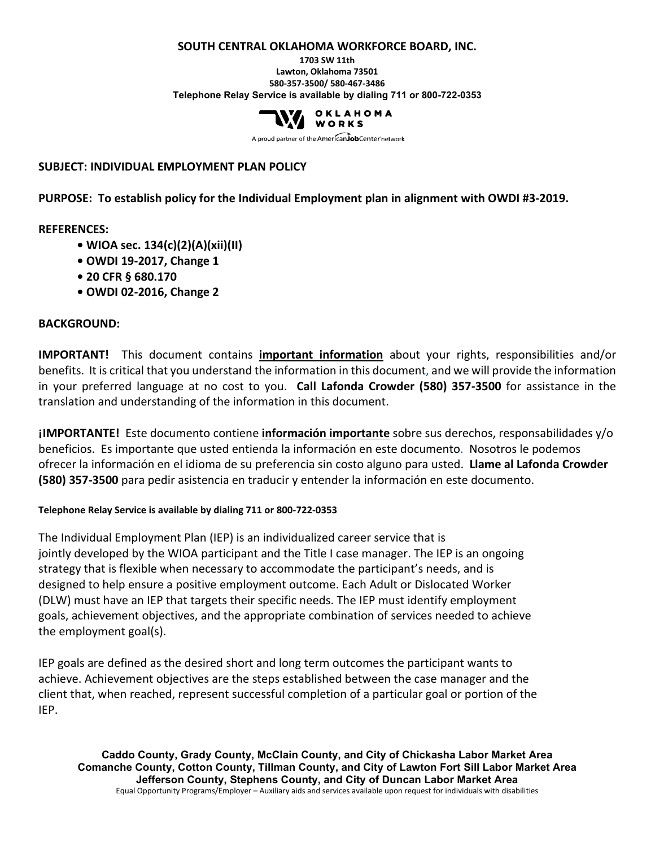#### **SOUTH CENTRAL OKLAHOMA WORKFORCE BOARD, INC.**

**1703 SW 11th Lawton, Oklahoma 73501 580-357-3500/ 580-467-3486 Telephone Relay Service is available by dialing 711 or 800-722-0353**



A proud partner of the American Job Center network

#### **SUBJECT: INDIVIDUAL EMPLOYMENT PLAN POLICY**

**PURPOSE: To establish policy for the Individual Employment plan in alignment with OWDI #3-2019.**

#### **REFERENCES:**

- **WIOA sec. 134(c)(2)(A)(xii)(II)**
- **OWDI 19-2017, Change 1**
- **20 CFR § 680.170**
- **OWDI 02-2016, Change 2**

#### **BACKGROUND:**

**IMPORTANT!** This document contains **important information** about your rights, responsibilities and/or benefits. It is critical that you understand the information in this document, and we will provide the information in your preferred language at no cost to you. **Call Lafonda Crowder (580) 357-3500** for assistance in the translation and understanding of the information in this document.

**¡IMPORTANTE!** Este documento contiene **información importante** sobre sus derechos, responsabilidades y/o beneficios. Es importante que usted entienda la información en este documento. Nosotros le podemos ofrecer la información en el idioma de su preferencia sin costo alguno para usted. **Llame al Lafonda Crowder (580) 357-3500** para pedir asistencia en traducir y entender la información en este documento.

#### **Telephone Relay Service is available by dialing 711 or 800-722-0353**

The Individual Employment Plan (IEP) is an individualized career service that is jointly developed by the WIOA participant and the Title I case manager. The IEP is an ongoing strategy that is flexible when necessary to accommodate the participant's needs, and is designed to help ensure a positive employment outcome. Each Adult or Dislocated Worker (DLW) must have an IEP that targets their specific needs. The IEP must identify employment goals, achievement objectives, and the appropriate combination of services needed to achieve the employment goal(s).

IEP goals are defined as the desired short and long term outcomes the participant wants to achieve. Achievement objectives are the steps established between the case manager and the client that, when reached, represent successful completion of a particular goal or portion of the IEP.

**Caddo County, Grady County, McClain County, and City of Chickasha Labor Market Area Comanche County, Cotton County, Tillman County, and City of Lawton Fort Sill Labor Market Area Jefferson County, Stephens County, and City of Duncan Labor Market Area** Equal Opportunity Programs/Employer – Auxiliary aids and services available upon request for individuals with disabilities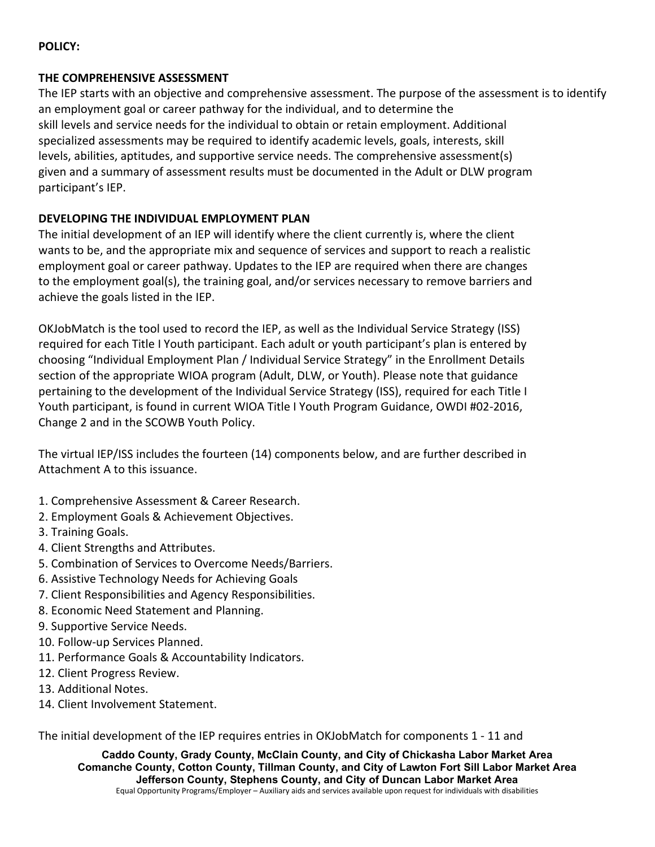# **POLICY:**

### **THE COMPREHENSIVE ASSESSMENT**

The IEP starts with an objective and comprehensive assessment. The purpose of the assessment is to identify an employment goal or career pathway for the individual, and to determine the skill levels and service needs for the individual to obtain or retain employment. Additional specialized assessments may be required to identify academic levels, goals, interests, skill levels, abilities, aptitudes, and supportive service needs. The comprehensive assessment(s) given and a summary of assessment results must be documented in the Adult or DLW program participant's IEP.

## **DEVELOPING THE INDIVIDUAL EMPLOYMENT PLAN**

The initial development of an IEP will identify where the client currently is, where the client wants to be, and the appropriate mix and sequence of services and support to reach a realistic employment goal or career pathway. Updates to the IEP are required when there are changes to the employment goal(s), the training goal, and/or services necessary to remove barriers and achieve the goals listed in the IEP.

OKJobMatch is the tool used to record the IEP, as well as the Individual Service Strategy (ISS) required for each Title I Youth participant. Each adult or youth participant's plan is entered by choosing "Individual Employment Plan / Individual Service Strategy" in the Enrollment Details section of the appropriate WIOA program (Adult, DLW, or Youth). Please note that guidance pertaining to the development of the Individual Service Strategy (ISS), required for each Title I Youth participant, is found in current WIOA Title I Youth Program Guidance, OWDI #02-2016, Change 2 and in the SCOWB Youth Policy.

The virtual IEP/ISS includes the fourteen (14) components below, and are further described in Attachment A to this issuance.

- 1. Comprehensive Assessment & Career Research.
- 2. Employment Goals & Achievement Objectives.
- 3. Training Goals.
- 4. Client Strengths and Attributes.
- 5. Combination of Services to Overcome Needs/Barriers.
- 6. Assistive Technology Needs for Achieving Goals
- 7. Client Responsibilities and Agency Responsibilities.
- 8. Economic Need Statement and Planning.
- 9. Supportive Service Needs.
- 10. Follow-up Services Planned.
- 11. Performance Goals & Accountability Indicators.
- 12. Client Progress Review.
- 13. Additional Notes.
- 14. Client Involvement Statement.

The initial development of the IEP requires entries in OKJobMatch for components 1 - 11 and

**Caddo County, Grady County, McClain County, and City of Chickasha Labor Market Area Comanche County, Cotton County, Tillman County, and City of Lawton Fort Sill Labor Market Area Jefferson County, Stephens County, and City of Duncan Labor Market Area** Equal Opportunity Programs/Employer – Auxiliary aids and services available upon request for individuals with disabilities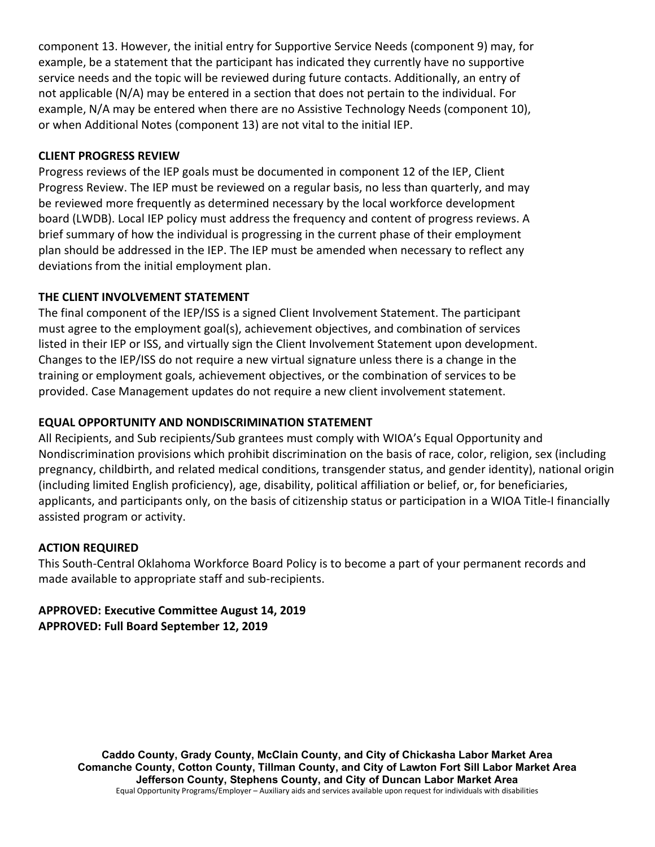component 13. However, the initial entry for Supportive Service Needs (component 9) may, for example, be a statement that the participant has indicated they currently have no supportive service needs and the topic will be reviewed during future contacts. Additionally, an entry of not applicable (N/A) may be entered in a section that does not pertain to the individual. For example, N/A may be entered when there are no Assistive Technology Needs (component 10), or when Additional Notes (component 13) are not vital to the initial IEP.

# **CLIENT PROGRESS REVIEW**

Progress reviews of the IEP goals must be documented in component 12 of the IEP, Client Progress Review. The IEP must be reviewed on a regular basis, no less than quarterly, and may be reviewed more frequently as determined necessary by the local workforce development board (LWDB). Local IEP policy must address the frequency and content of progress reviews. A brief summary of how the individual is progressing in the current phase of their employment plan should be addressed in the IEP. The IEP must be amended when necessary to reflect any deviations from the initial employment plan.

## **THE CLIENT INVOLVEMENT STATEMENT**

The final component of the IEP/ISS is a signed Client Involvement Statement. The participant must agree to the employment goal(s), achievement objectives, and combination of services listed in their IEP or ISS, and virtually sign the Client Involvement Statement upon development. Changes to the IEP/ISS do not require a new virtual signature unless there is a change in the training or employment goals, achievement objectives, or the combination of services to be provided. Case Management updates do not require a new client involvement statement.

## **EQUAL OPPORTUNITY AND NONDISCRIMINATION STATEMENT**

All Recipients, and Sub recipients/Sub grantees must comply with WIOA's Equal Opportunity and Nondiscrimination provisions which prohibit discrimination on the basis of race, color, religion, sex (including pregnancy, childbirth, and related medical conditions, transgender status, and gender identity), national origin (including limited English proficiency), age, disability, political affiliation or belief, or, for beneficiaries, applicants, and participants only, on the basis of citizenship status or participation in a WIOA Title-I financially assisted program or activity.

### **ACTION REQUIRED**

This South-Central Oklahoma Workforce Board Policy is to become a part of your permanent records and made available to appropriate staff and sub-recipients.

# **APPROVED: Executive Committee August 14, 2019 APPROVED: Full Board September 12, 2019**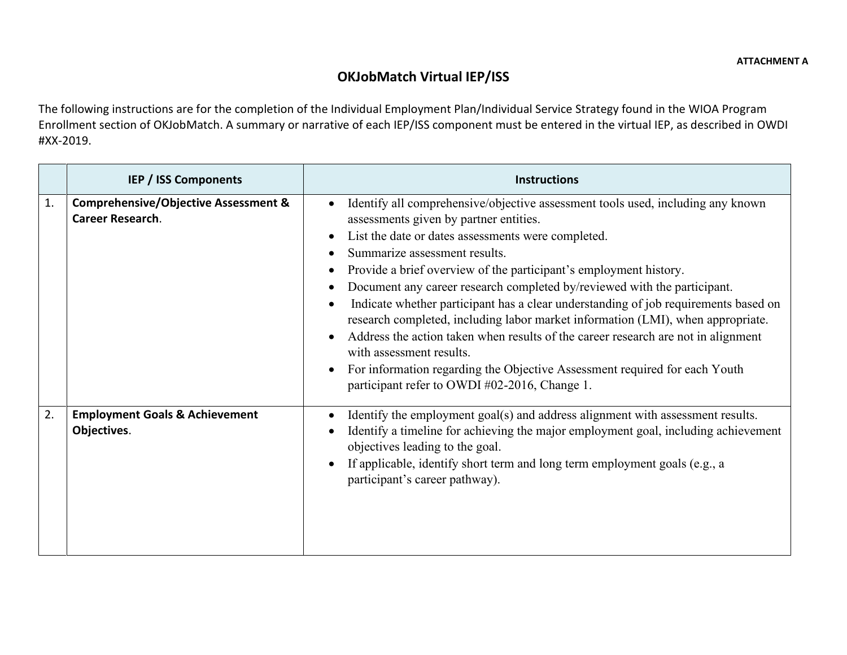# **OKJobMatch Virtual IEP/ISS**

The following instructions are for the completion of the Individual Employment Plan/Individual Service Strategy found in the WIOA Program Enrollment section of OKJobMatch. A summary or narrative of each IEP/ISS component must be entered in the virtual IEP, as described in OWDI #XX-2019.

|    | <b>IEP / ISS Components</b>                                                | <b>Instructions</b>                                                                                                                                                                                                                                                                                                                                                                                                                                                                                                                                                                                                                                                                                                                                                                         |
|----|----------------------------------------------------------------------------|---------------------------------------------------------------------------------------------------------------------------------------------------------------------------------------------------------------------------------------------------------------------------------------------------------------------------------------------------------------------------------------------------------------------------------------------------------------------------------------------------------------------------------------------------------------------------------------------------------------------------------------------------------------------------------------------------------------------------------------------------------------------------------------------|
| 1. | <b>Comprehensive/Objective Assessment &amp;</b><br><b>Career Research.</b> | Identify all comprehensive/objective assessment tools used, including any known<br>assessments given by partner entities.<br>List the date or dates assessments were completed.<br>Summarize assessment results.<br>Provide a brief overview of the participant's employment history.<br>Document any career research completed by/reviewed with the participant.<br>Indicate whether participant has a clear understanding of job requirements based on<br>research completed, including labor market information (LMI), when appropriate.<br>Address the action taken when results of the career research are not in alignment<br>with assessment results.<br>For information regarding the Objective Assessment required for each Youth<br>participant refer to OWDI #02-2016, Change 1. |
| 2. | <b>Employment Goals &amp; Achievement</b><br>Objectives.                   | Identify the employment goal(s) and address alignment with assessment results.<br>Identify a timeline for achieving the major employment goal, including achievement<br>objectives leading to the goal.<br>If applicable, identify short term and long term employment goals (e.g., a<br>participant's career pathway).                                                                                                                                                                                                                                                                                                                                                                                                                                                                     |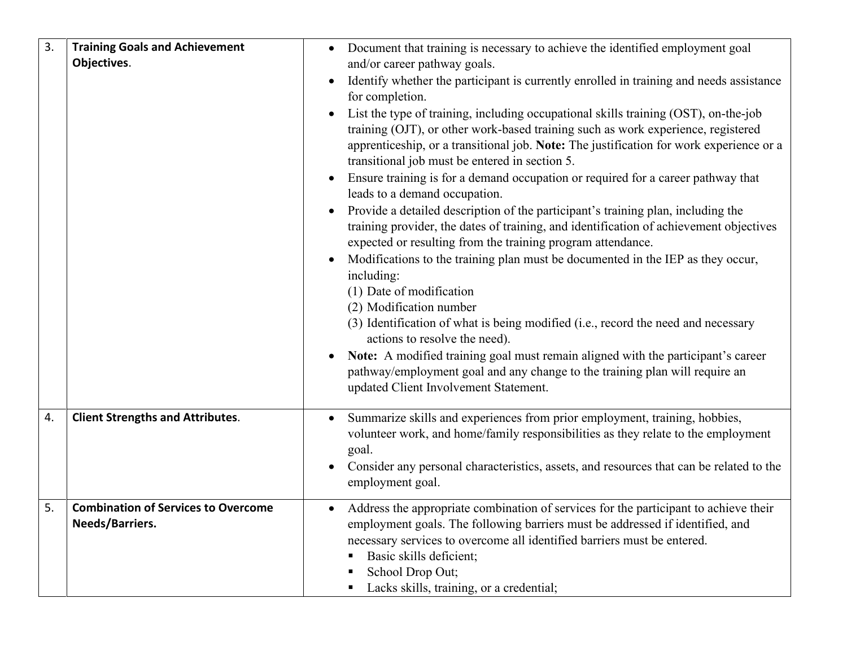| 3. | <b>Training Goals and Achievement</b><br>Objectives.          | Document that training is necessary to achieve the identified employment goal<br>and/or career pathway goals.                                                                                                                                                                                                                                              |
|----|---------------------------------------------------------------|------------------------------------------------------------------------------------------------------------------------------------------------------------------------------------------------------------------------------------------------------------------------------------------------------------------------------------------------------------|
|    |                                                               | Identify whether the participant is currently enrolled in training and needs assistance<br>$\bullet$<br>for completion.                                                                                                                                                                                                                                    |
|    |                                                               | List the type of training, including occupational skills training (OST), on-the-job<br>training (OJT), or other work-based training such as work experience, registered<br>apprenticeship, or a transitional job. Note: The justification for work experience or a<br>transitional job must be entered in section 5.                                       |
|    |                                                               | Ensure training is for a demand occupation or required for a career pathway that<br>$\bullet$<br>leads to a demand occupation.                                                                                                                                                                                                                             |
|    |                                                               | Provide a detailed description of the participant's training plan, including the<br>training provider, the dates of training, and identification of achievement objectives<br>expected or resulting from the training program attendance.                                                                                                                  |
|    |                                                               | Modifications to the training plan must be documented in the IEP as they occur,<br>including:<br>(1) Date of modification<br>(2) Modification number                                                                                                                                                                                                       |
|    |                                                               | (3) Identification of what is being modified (i.e., record the need and necessary<br>actions to resolve the need).                                                                                                                                                                                                                                         |
|    |                                                               | Note: A modified training goal must remain aligned with the participant's career<br>pathway/employment goal and any change to the training plan will require an<br>updated Client Involvement Statement.                                                                                                                                                   |
| 4. | <b>Client Strengths and Attributes.</b>                       | Summarize skills and experiences from prior employment, training, hobbies,<br>volunteer work, and home/family responsibilities as they relate to the employment<br>goal.                                                                                                                                                                                   |
|    |                                                               | Consider any personal characteristics, assets, and resources that can be related to the<br>employment goal.                                                                                                                                                                                                                                                |
| 5. | <b>Combination of Services to Overcome</b><br>Needs/Barriers. | Address the appropriate combination of services for the participant to achieve their<br>$\bullet$<br>employment goals. The following barriers must be addressed if identified, and<br>necessary services to overcome all identified barriers must be entered.<br>Basic skills deficient;<br>School Drop Out;<br>• Lacks skills, training, or a credential; |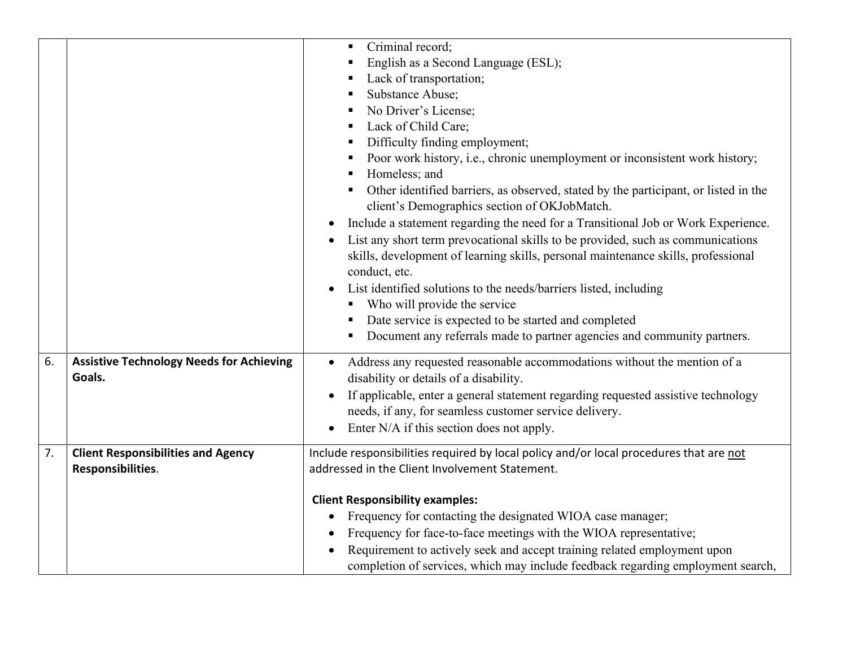|    |                                                                | Criminal record;<br>English as a Second Language (ESL);<br>Lack of transportation;<br>Substance Abuse;<br>No Driver's License;<br>Lack of Child Care;<br>Difficulty finding employment;<br>Poor work history, i.e., chronic unemployment or inconsistent work history;<br>Homeless; and<br>Other identified barriers, as observed, stated by the participant, or listed in the<br>client's Demographics section of OKJobMatch. |
|----|----------------------------------------------------------------|--------------------------------------------------------------------------------------------------------------------------------------------------------------------------------------------------------------------------------------------------------------------------------------------------------------------------------------------------------------------------------------------------------------------------------|
|    |                                                                | Include a statement regarding the need for a Transitional Job or Work Experience.<br>List any short term prevocational skills to be provided, such as communications<br>$\bullet$<br>skills, development of learning skills, personal maintenance skills, professional<br>conduct, etc.<br>List identified solutions to the needs/barriers listed, including<br>Who will provide the service                                   |
|    |                                                                | Date service is expected to be started and completed<br>Document any referrals made to partner agencies and community partners.                                                                                                                                                                                                                                                                                                |
| 6. | <b>Assistive Technology Needs for Achieving</b><br>Goals.      | Address any requested reasonable accommodations without the mention of a<br>$\bullet$<br>disability or details of a disability.<br>If applicable, enter a general statement regarding requested assistive technology<br>needs, if any, for seamless customer service delivery.<br>Enter N/A if this section does not apply.<br>$\bullet$                                                                                       |
| 7. | <b>Client Responsibilities and Agency</b><br>Responsibilities. | Include responsibilities required by local policy and/or local procedures that are not<br>addressed in the Client Involvement Statement.                                                                                                                                                                                                                                                                                       |
|    |                                                                | <b>Client Responsibility examples:</b><br>Frequency for contacting the designated WIOA case manager;<br>$\bullet$<br>Frequency for face-to-face meetings with the WIOA representative;<br>Requirement to actively seek and accept training related employment upon<br>completion of services, which may include feedback regarding employment search,                                                                          |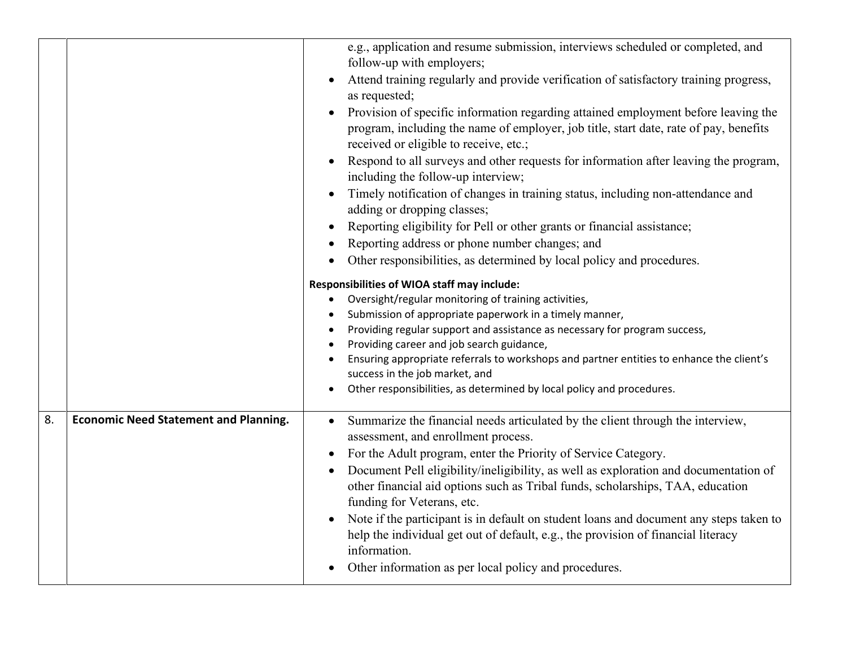|    |                                              | e.g., application and resume submission, interviews scheduled or completed, and<br>follow-up with employers;                                                                                                          |
|----|----------------------------------------------|-----------------------------------------------------------------------------------------------------------------------------------------------------------------------------------------------------------------------|
|    |                                              | Attend training regularly and provide verification of satisfactory training progress,<br>as requested;                                                                                                                |
|    |                                              | Provision of specific information regarding attained employment before leaving the<br>program, including the name of employer, job title, start date, rate of pay, benefits<br>received or eligible to receive, etc.; |
|    |                                              | Respond to all surveys and other requests for information after leaving the program,<br>including the follow-up interview;                                                                                            |
|    |                                              | Timely notification of changes in training status, including non-attendance and<br>adding or dropping classes;                                                                                                        |
|    |                                              | Reporting eligibility for Pell or other grants or financial assistance;                                                                                                                                               |
|    |                                              | Reporting address or phone number changes; and                                                                                                                                                                        |
|    |                                              | Other responsibilities, as determined by local policy and procedures.                                                                                                                                                 |
|    |                                              | Responsibilities of WIOA staff may include:                                                                                                                                                                           |
|    |                                              | Oversight/regular monitoring of training activities,                                                                                                                                                                  |
|    |                                              | Submission of appropriate paperwork in a timely manner,                                                                                                                                                               |
|    |                                              | Providing regular support and assistance as necessary for program success,                                                                                                                                            |
|    |                                              | Providing career and job search guidance,                                                                                                                                                                             |
|    |                                              | Ensuring appropriate referrals to workshops and partner entities to enhance the client's<br>success in the job market, and                                                                                            |
|    |                                              | Other responsibilities, as determined by local policy and procedures.                                                                                                                                                 |
| 8. | <b>Economic Need Statement and Planning.</b> | Summarize the financial needs articulated by the client through the interview,<br>$\bullet$                                                                                                                           |
|    |                                              |                                                                                                                                                                                                                       |
|    |                                              |                                                                                                                                                                                                                       |
|    |                                              | assessment, and enrollment process.                                                                                                                                                                                   |
|    |                                              | For the Adult program, enter the Priority of Service Category.                                                                                                                                                        |
|    |                                              | Document Pell eligibility/ineligibility, as well as exploration and documentation of<br>other financial aid options such as Tribal funds, scholarships, TAA, education                                                |
|    |                                              | funding for Veterans, etc.                                                                                                                                                                                            |
|    |                                              | Note if the participant is in default on student loans and document any steps taken to                                                                                                                                |
|    |                                              | help the individual get out of default, e.g., the provision of financial literacy                                                                                                                                     |
|    |                                              | information.<br>Other information as per local policy and procedures.                                                                                                                                                 |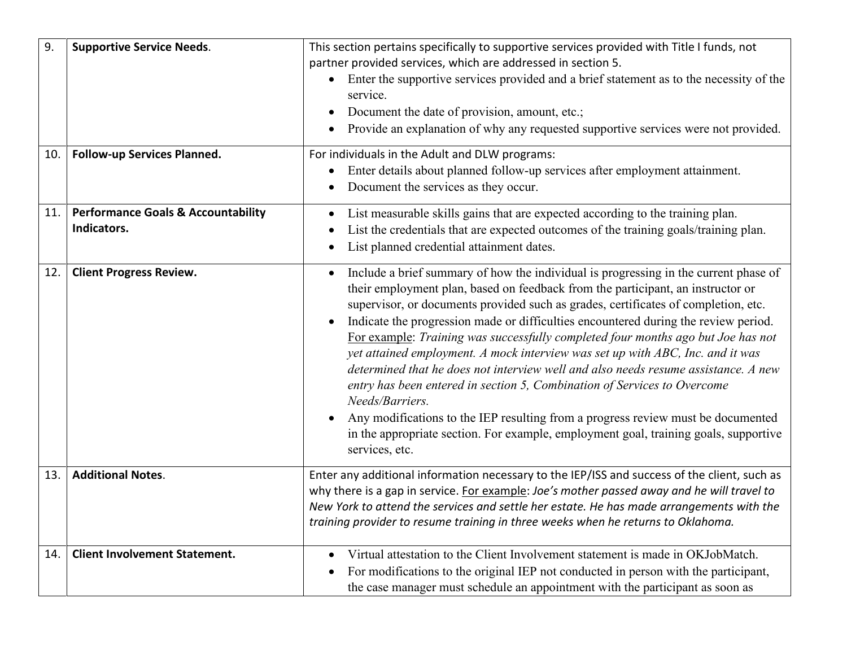| 9.  | <b>Supportive Service Needs.</b>                             | This section pertains specifically to supportive services provided with Title I funds, not<br>partner provided services, which are addressed in section 5.<br>Enter the supportive services provided and a brief statement as to the necessity of the<br>service.<br>Document the date of provision, amount, etc.;<br>Provide an explanation of why any requested supportive services were not provided.                                                                                                                                                                                                                                                                                                                                                                                                                                                                                                                   |
|-----|--------------------------------------------------------------|----------------------------------------------------------------------------------------------------------------------------------------------------------------------------------------------------------------------------------------------------------------------------------------------------------------------------------------------------------------------------------------------------------------------------------------------------------------------------------------------------------------------------------------------------------------------------------------------------------------------------------------------------------------------------------------------------------------------------------------------------------------------------------------------------------------------------------------------------------------------------------------------------------------------------|
| 10. | Follow-up Services Planned.                                  | For individuals in the Adult and DLW programs:<br>Enter details about planned follow-up services after employment attainment.<br>$\bullet$<br>Document the services as they occur.                                                                                                                                                                                                                                                                                                                                                                                                                                                                                                                                                                                                                                                                                                                                         |
| 11. | <b>Performance Goals &amp; Accountability</b><br>Indicators. | List measurable skills gains that are expected according to the training plan.<br>$\bullet$<br>List the credentials that are expected outcomes of the training goals/training plan.<br>List planned credential attainment dates.                                                                                                                                                                                                                                                                                                                                                                                                                                                                                                                                                                                                                                                                                           |
| 12. | <b>Client Progress Review.</b>                               | Include a brief summary of how the individual is progressing in the current phase of<br>$\bullet$<br>their employment plan, based on feedback from the participant, an instructor or<br>supervisor, or documents provided such as grades, certificates of completion, etc.<br>Indicate the progression made or difficulties encountered during the review period.<br>For example: Training was successfully completed four months ago but Joe has not<br>yet attained employment. A mock interview was set up with ABC, Inc. and it was<br>determined that he does not interview well and also needs resume assistance. A new<br>entry has been entered in section 5, Combination of Services to Overcome<br>Needs/Barriers.<br>Any modifications to the IEP resulting from a progress review must be documented<br>in the appropriate section. For example, employment goal, training goals, supportive<br>services, etc. |
| 13. | <b>Additional Notes.</b>                                     | Enter any additional information necessary to the IEP/ISS and success of the client, such as<br>why there is a gap in service. For example: Joe's mother passed away and he will travel to<br>New York to attend the services and settle her estate. He has made arrangements with the<br>training provider to resume training in three weeks when he returns to Oklahoma.                                                                                                                                                                                                                                                                                                                                                                                                                                                                                                                                                 |
| 14. | <b>Client Involvement Statement.</b>                         | Virtual attestation to the Client Involvement statement is made in OKJobMatch.<br>For modifications to the original IEP not conducted in person with the participant,<br>the case manager must schedule an appointment with the participant as soon as                                                                                                                                                                                                                                                                                                                                                                                                                                                                                                                                                                                                                                                                     |